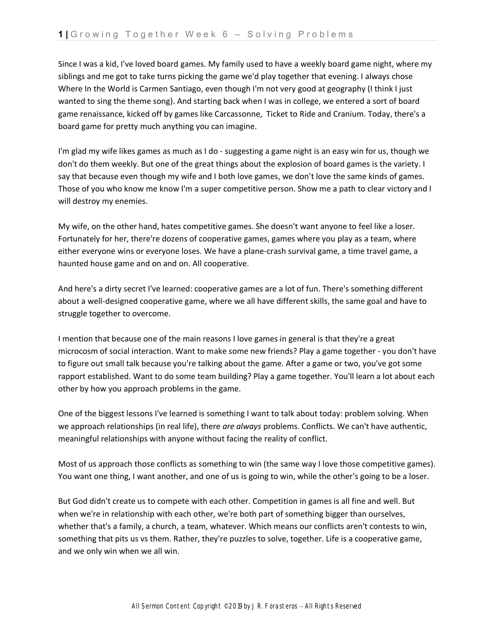Since I was a kid, I've loved board games. My family used to have a weekly board game night, where my siblings and me got to take turns picking the game we'd play together that evening. I always chose Where In the World is Carmen Santiago, even though I'm not very good at geography (I think I just wanted to sing the theme song). And starting back when I was in college, we entered a sort of board game renaissance, kicked off by games like Carcassonne, Ticket to Ride and Cranium. Today, there's a board game for pretty much anything you can imagine.

I'm glad my wife likes games as much as I do - suggesting a game night is an easy win for us, though we don't do them weekly. But one of the great things about the explosion of board games is the variety. I say that because even though my wife and I both love games, we don't love the same kinds of games. Those of you who know me know I'm a super competitive person. Show me a path to clear victory and I will destroy my enemies.

My wife, on the other hand, hates competitive games. She doesn't want anyone to feel like a loser. Fortunately for her, there're dozens of cooperative games, games where you play as a team, where either everyone wins or everyone loses. We have a plane-crash survival game, a time travel game, a haunted house game and on and on. All cooperative.

And here's a dirty secret I've learned: cooperative games are a lot of fun. There's something different about a well-designed cooperative game, where we all have different skills, the same goal and have to struggle together to overcome.

I mention that because one of the main reasons I love games in general is that they're a great microcosm of social interaction. Want to make some new friends? Play a game together - you don't have to figure out small talk because you're talking about the game. After a game or two, you've got some rapport established. Want to do some team building? Play a game together. You'll learn a lot about each other by how you approach problems in the game.

One of the biggest lessons I've learned is something I want to talk about today: problem solving. When we approach relationships (in real life), there *are always* problems. Conflicts. We can't have authentic, meaningful relationships with anyone without facing the reality of conflict.

Most of us approach those conflicts as something to win (the same way I love those competitive games). You want one thing, I want another, and one of us is going to win, while the other's going to be a loser.

But God didn't create us to compete with each other. Competition in games is all fine and well. But when we're in relationship with each other, we're both part of something bigger than ourselves, whether that's a family, a church, a team, whatever. Which means our conflicts aren't contests to win, something that pits us vs them. Rather, they're puzzles to solve, together. Life is a cooperative game, and we only win when we all win.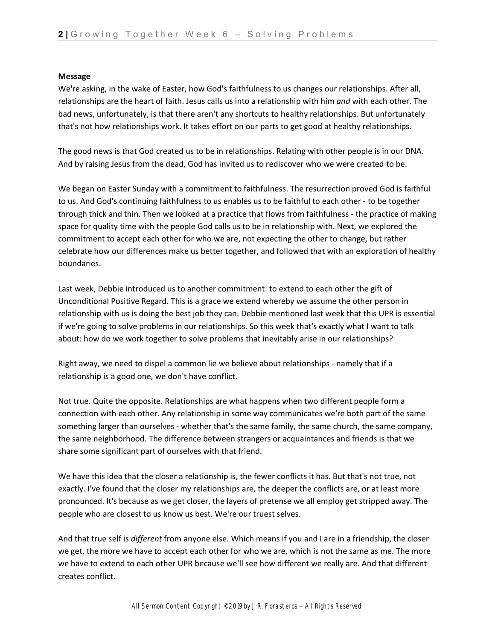## **Message**

We're asking, in the wake of Easter, how God's faithfulness to us changes our relationships. After all, relationships are the heart of faith. Jesus calls us into a relationship with him *and* with each other. The bad news, unfortunately, is that there aren't any shortcuts to healthy relationships. But unfortunately that's not how relationships work. It takes effort on our parts to get good at healthy relationships.

The good news is that God created us to be in relationships. Relating with other people is in our DNA. And by raising Jesus from the dead, God has invited us to rediscover who we were created to be.

We began on Easter Sunday with a commitment to faithfulness. The resurrection proved God is faithful to us. And God's continuing faithfulness to us enables us to be faithful to each other - to be together through thick and thin. Then we looked at a practice that flows from faithfulness - the practice of making space for quality time with the people God calls us to be in relationship with. Next, we explored the commitment to accept each other for who we are, not expecting the other to change, but rather celebrate how our differences make us better together, and followed that with an exploration of healthy boundaries.

Last week, Debbie introduced us to another commitment: to extend to each other the gift of Unconditional Positive Regard. This is a grace we extend whereby we assume the other person in relationship with us is doing the best job they can. Debbie mentioned last week that this UPR is essential if we're going to solve problems in our relationships. So this week that's exactly what I want to talk about: how do we work together to solve problems that inevitably arise in our relationships?

Right away, we need to dispel a common lie we believe about relationships - namely that if a relationship is a good one, we don't have conflict.

Not true. Quite the opposite. Relationships are what happens when two different people form a connection with each other. Any relationship in some way communicates we're both part of the same something larger than ourselves - whether that's the same family, the same church, the same company, the same neighborhood. The difference between strangers or acquaintances and friends is that we share some significant part of ourselves with that friend.

We have this idea that the closer a relationship is, the fewer conflicts it has. But that's not true, not exactly. I've found that the closer my relationships are, the deeper the conflicts are, or at least more pronounced. It's because as we get closer, the layers of pretense we all employ get stripped away. The people who are closest to us know us best. We're our truest selves.

And that true self is *different* from anyone else. Which means if you and I are in a friendship, the closer we get, the more we have to accept each other for who we are, which is not the same as me. The more we have to extend to each other UPR because we'll see how different we really are. And that different creates conflict.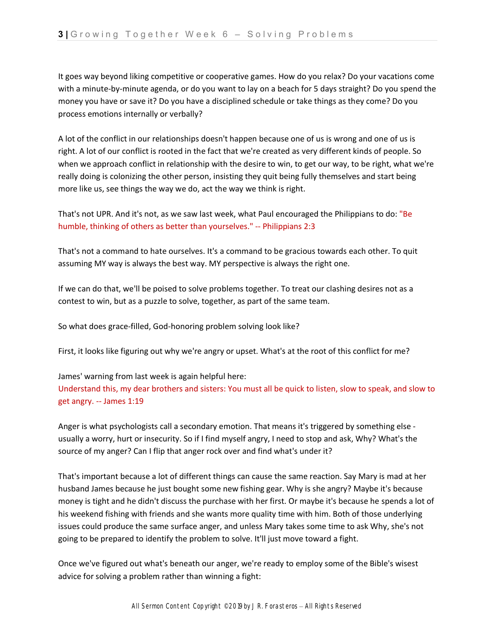It goes way beyond liking competitive or cooperative games. How do you relax? Do your vacations come with a minute-by-minute agenda, or do you want to lay on a beach for 5 days straight? Do you spend the money you have or save it? Do you have a disciplined schedule or take things as they come? Do you process emotions internally or verbally?

A lot of the conflict in our relationships doesn't happen because one of us is wrong and one of us is right. A lot of our conflict is rooted in the fact that we're created as very different kinds of people. So when we approach conflict in relationship with the desire to win, to get our way, to be right, what we're really doing is colonizing the other person, insisting they quit being fully themselves and start being more like us, see things the way we do, act the way we think is right.

That's not UPR. And it's not, as we saw last week, what Paul encouraged the Philippians to do: "Be humble, thinking of others as better than yourselves." -- Philippians 2:3

That's not a command to hate ourselves. It's a command to be gracious towards each other. To quit assuming MY way is always the best way. MY perspective is always the right one.

If we can do that, we'll be poised to solve problems together. To treat our clashing desires not as a contest to win, but as a puzzle to solve, together, as part of the same team.

So what does grace-filled, God-honoring problem solving look like?

First, it looks like figuring out why we're angry or upset. What's at the root of this conflict for me?

James' warning from last week is again helpful here: Understand this, my dear brothers and sisters: You must all be quick to listen, slow to speak, and slow to get angry. -- James 1:19

Anger is what psychologists call a secondary emotion. That means it's triggered by something else usually a worry, hurt or insecurity. So if I find myself angry, I need to stop and ask, Why? What's the source of my anger? Can I flip that anger rock over and find what's under it?

That's important because a lot of different things can cause the same reaction. Say Mary is mad at her husband James because he just bought some new fishing gear. Why is she angry? Maybe it's because money is tight and he didn't discuss the purchase with her first. Or maybe it's because he spends a lot of his weekend fishing with friends and she wants more quality time with him. Both of those underlying issues could produce the same surface anger, and unless Mary takes some time to ask Why, she's not going to be prepared to identify the problem to solve. It'll just move toward a fight.

Once we've figured out what's beneath our anger, we're ready to employ some of the Bible's wisest advice for solving a problem rather than winning a fight: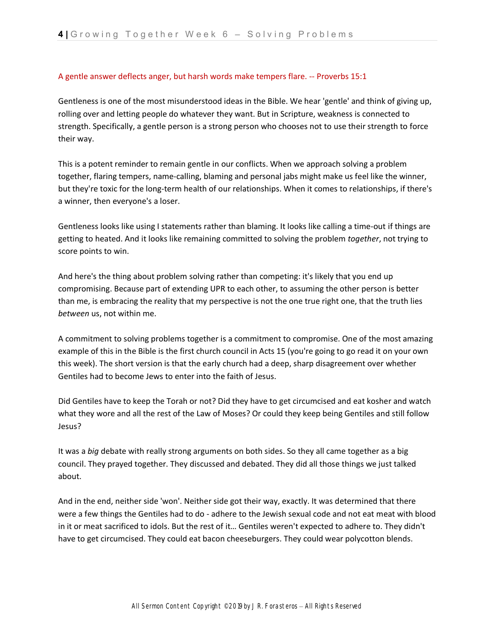## A gentle answer deflects anger, but harsh words make tempers flare. -- Proverbs 15:1

Gentleness is one of the most misunderstood ideas in the Bible. We hear 'gentle' and think of giving up, rolling over and letting people do whatever they want. But in Scripture, weakness is connected to strength. Specifically, a gentle person is a strong person who chooses not to use their strength to force their way.

This is a potent reminder to remain gentle in our conflicts. When we approach solving a problem together, flaring tempers, name-calling, blaming and personal jabs might make us feel like the winner, but they're toxic for the long-term health of our relationships. When it comes to relationships, if there's a winner, then everyone's a loser.

Gentleness looks like using I statements rather than blaming. It looks like calling a time-out if things are getting to heated. And it looks like remaining committed to solving the problem *together*, not trying to score points to win.

And here's the thing about problem solving rather than competing: it's likely that you end up compromising. Because part of extending UPR to each other, to assuming the other person is better than me, is embracing the reality that my perspective is not the one true right one, that the truth lies *between* us, not within me.

A commitment to solving problems together is a commitment to compromise. One of the most amazing example of this in the Bible is the first church council in Acts 15 (you're going to go read it on your own this week). The short version is that the early church had a deep, sharp disagreement over whether Gentiles had to become Jews to enter into the faith of Jesus.

Did Gentiles have to keep the Torah or not? Did they have to get circumcised and eat kosher and watch what they wore and all the rest of the Law of Moses? Or could they keep being Gentiles and still follow Jesus?

It was a *big* debate with really strong arguments on both sides. So they all came together as a big council. They prayed together. They discussed and debated. They did all those things we just talked about.

And in the end, neither side 'won'. Neither side got their way, exactly. It was determined that there were a few things the Gentiles had to do - adhere to the Jewish sexual code and not eat meat with blood in it or meat sacrificed to idols. But the rest of it… Gentiles weren't expected to adhere to. They didn't have to get circumcised. They could eat bacon cheeseburgers. They could wear polycotton blends.